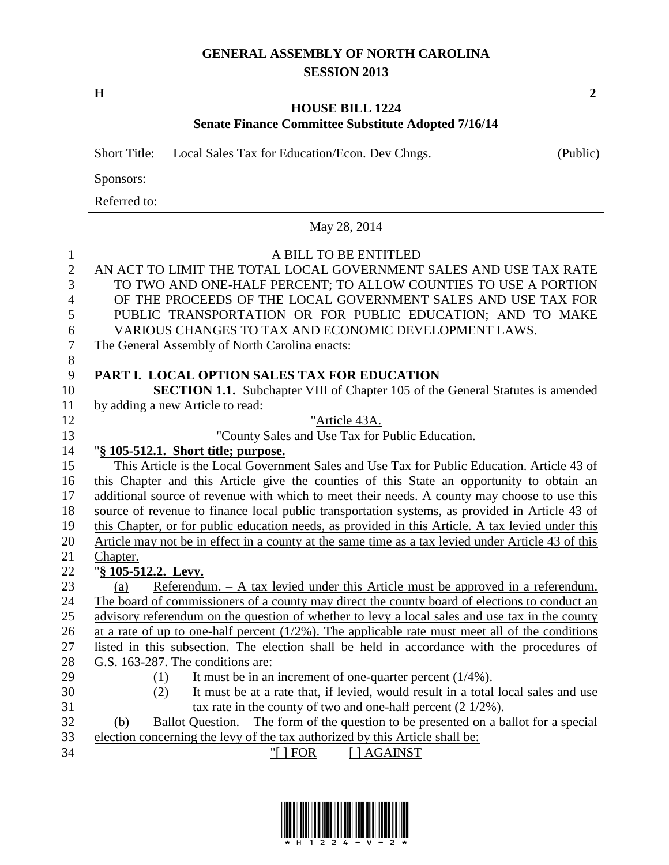## **GENERAL ASSEMBLY OF NORTH CAROLINA SESSION 2013**

**H 2**

## **HOUSE BILL 1224 Senate Finance Committee Substitute Adopted 7/16/14**

Short Title: Local Sales Tax for Education/Econ. Dev Chngs. (Public) Sponsors: Referred to: May 28, 2014 A BILL TO BE ENTITLED AN ACT TO LIMIT THE TOTAL LOCAL GOVERNMENT SALES AND USE TAX RATE TO TWO AND ONE-HALF PERCENT; TO ALLOW COUNTIES TO USE A PORTION OF THE PROCEEDS OF THE LOCAL GOVERNMENT SALES AND USE TAX FOR PUBLIC TRANSPORTATION OR FOR PUBLIC EDUCATION; AND TO MAKE VARIOUS CHANGES TO TAX AND ECONOMIC DEVELOPMENT LAWS. The General Assembly of North Carolina enacts: **PART I. LOCAL OPTION SALES TAX FOR EDUCATION SECTION 1.1.** Subchapter VIII of Chapter 105 of the General Statutes is amended by adding a new Article to read: "Article 43A. "County Sales and Use Tax for Public Education. "**§ 105-512.1. Short title; purpose.** 15 This Article is the Local Government Sales and Use Tax for Public Education. Article 43 of this Chapter and this Article give the counties of this State an opportunity to obtain an 17 additional source of revenue with which to meet their needs. A county may choose to use this source of revenue to finance local public transportation systems, as provided in Article 43 of this Chapter, or for public education needs, as provided in this Article. A tax levied under this Article may not be in effect in a county at the same time as a tax levied under Article 43 of this Chapter. "**§ 105-512.2. Levy.** (a) Referendum. – A tax levied under this Article must be approved in a referendum. The board of commissioners of a county may direct the county board of elections to conduct an advisory referendum on the question of whether to levy a local sales and use tax in the county at a rate of up to one-half percent (1/2%). The applicable rate must meet all of the conditions listed in this subsection. The election shall be held in accordance with the procedures of G.S. 163-287. The conditions are: 29 (1) It must be in an increment of one-quarter percent (1/4%). (2) It must be at a rate that, if levied, would result in a total local sales and use tax rate in the county of two and one-half percent (2 1/2%).

## (b) Ballot Question. – The form of the question to be presented on a ballot for a special election concerning the levy of the tax authorized by this Article shall be:

- 
- 34 "[ ] FOR [ ] AGAINST

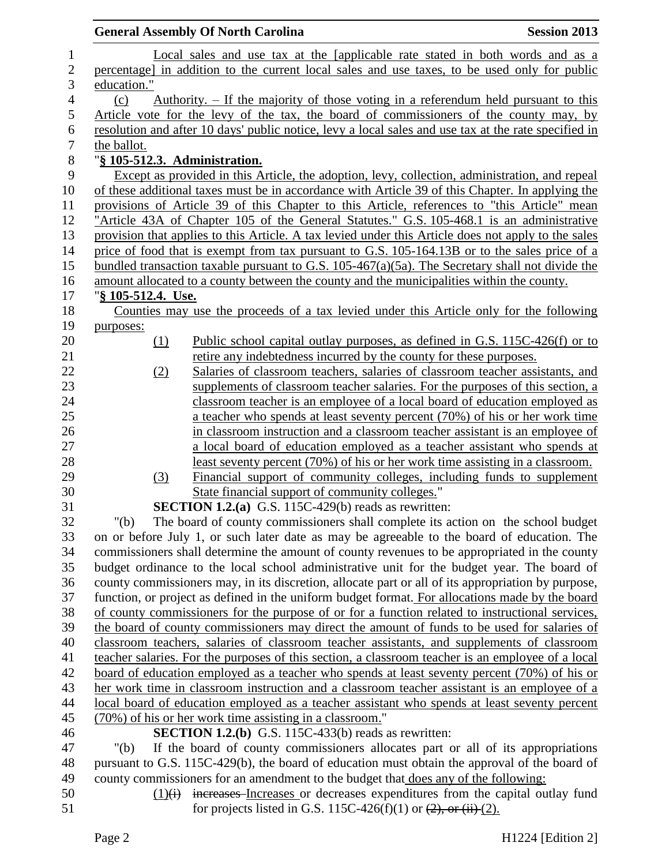|                  |                               | <b>General Assembly Of North Carolina</b>                                                                                                                | <b>Session 2013</b> |
|------------------|-------------------------------|----------------------------------------------------------------------------------------------------------------------------------------------------------|---------------------|
| $\mathbf{1}$     |                               | Local sales and use tax at the [applicable rate stated in both words and as a                                                                            |                     |
| $\overline{c}$   |                               | percentage] in addition to the current local sales and use taxes, to be used only for public                                                             |                     |
| 3                | education."                   |                                                                                                                                                          |                     |
| $\overline{4}$   | (c)                           | Authority. $-$ If the majority of those voting in a referendum held pursuant to this                                                                     |                     |
| 5                |                               | Article vote for the levy of the tax, the board of commissioners of the county may, by                                                                   |                     |
| 6                |                               | resolution and after 10 days' public notice, levy a local sales and use tax at the rate specified in                                                     |                     |
| $\boldsymbol{7}$ | the ballot.                   |                                                                                                                                                          |                     |
| $\,8\,$          | "§ 105-512.3. Administration. |                                                                                                                                                          |                     |
| 9                |                               | Except as provided in this Article, the adoption, levy, collection, administration, and repeal                                                           |                     |
| 10               |                               | of these additional taxes must be in accordance with Article 39 of this Chapter. In applying the                                                         |                     |
| 11               |                               | provisions of Article 39 of this Chapter to this Article, references to "this Article" mean                                                              |                     |
| 12               |                               | "Article 43A of Chapter 105 of the General Statutes." G.S. 105-468.1 is an administrative                                                                |                     |
| 13               |                               | provision that applies to this Article. A tax levied under this Article does not apply to the sales                                                      |                     |
| 14               |                               | price of food that is exempt from tax pursuant to G.S. 105-164.13B or to the sales price of a                                                            |                     |
| 15               |                               | bundled transaction taxable pursuant to G.S. $105-467(a)(5a)$ . The Secretary shall not divide the                                                       |                     |
| 16               |                               | amount allocated to a county between the county and the municipalities within the county.                                                                |                     |
| 17               | "§ 105-512.4. Use.            |                                                                                                                                                          |                     |
| 18               |                               | Counties may use the proceeds of a tax levied under this Article only for the following                                                                  |                     |
| 19               | purposes:                     |                                                                                                                                                          |                     |
| 20               | (1)                           | Public school capital outlay purposes, as defined in G.S. 115C-426(f) or to                                                                              |                     |
| 21               |                               | retire any indebtedness incurred by the county for these purposes.                                                                                       |                     |
| 22               | (2)                           | Salaries of classroom teachers, salaries of classroom teacher assistants, and                                                                            |                     |
| 23               |                               | supplements of classroom teacher salaries. For the purposes of this section, a                                                                           |                     |
| 24               |                               | classroom teacher is an employee of a local board of education employed as                                                                               |                     |
| 25               |                               | a teacher who spends at least seventy percent (70%) of his or her work time                                                                              |                     |
| 26               |                               | in classroom instruction and a classroom teacher assistant is an employee of                                                                             |                     |
| 27               |                               | a local board of education employed as a teacher assistant who spends at                                                                                 |                     |
| 28               |                               | least seventy percent (70%) of his or her work time assisting in a classroom.                                                                            |                     |
| 29               | (3)                           | Financial support of community colleges, including funds to supplement                                                                                   |                     |
| 30               |                               | State financial support of community colleges."                                                                                                          |                     |
| 31               |                               | <b>SECTION 1.2.(a)</b> G.S. 115C-429(b) reads as rewritten:                                                                                              |                     |
| 32               | " $(b)$                       | The board of county commissioners shall complete its action on the school budget                                                                         |                     |
| 33               |                               | on or before July 1, or such later date as may be agreeable to the board of education. The                                                               |                     |
| 34               |                               | commissioners shall determine the amount of county revenues to be appropriated in the county                                                             |                     |
| 35               |                               | budget ordinance to the local school administrative unit for the budget year. The board of                                                               |                     |
| 36               |                               | county commissioners may, in its discretion, allocate part or all of its appropriation by purpose,                                                       |                     |
| 37               |                               | function, or project as defined in the uniform budget format. For allocations made by the board                                                          |                     |
| 38               |                               | of county commissioners for the purpose of or for a function related to instructional services,                                                          |                     |
| 39               |                               | the board of county commissioners may direct the amount of funds to be used for salaries of                                                              |                     |
| 40               |                               | classroom teachers, salaries of classroom teacher assistants, and supplements of classroom                                                               |                     |
| 41               |                               | teacher salaries. For the purposes of this section, a classroom teacher is an employee of a local                                                        |                     |
| 42               |                               | board of education employed as a teacher who spends at least seventy percent (70%) of his or                                                             |                     |
| 43               |                               | her work time in classroom instruction and a classroom teacher assistant is an employee of a                                                             |                     |
| 44<br>45         |                               | local board of education employed as a teacher assistant who spends at least seventy percent<br>(70%) of his or her work time assisting in a classroom." |                     |
| 46               |                               | <b>SECTION 1.2.(b)</b> G.S. 115C-433(b) reads as rewritten:                                                                                              |                     |
| 47               | " $(b)$                       | If the board of county commissioners allocates part or all of its appropriations                                                                         |                     |
| 48               |                               | pursuant to G.S. 115C-429(b), the board of education must obtain the approval of the board of                                                            |                     |
| 49               |                               | county commissioners for an amendment to the budget that does any of the following:                                                                      |                     |
| 50               |                               | $(1)(i)$ increases Increases or decreases expenditures from the capital outlay fund                                                                      |                     |
| 51               |                               | for projects listed in G.S. 115C-426(f)(1) or $(2)$ , or $(ii)$ $(2)$ .                                                                                  |                     |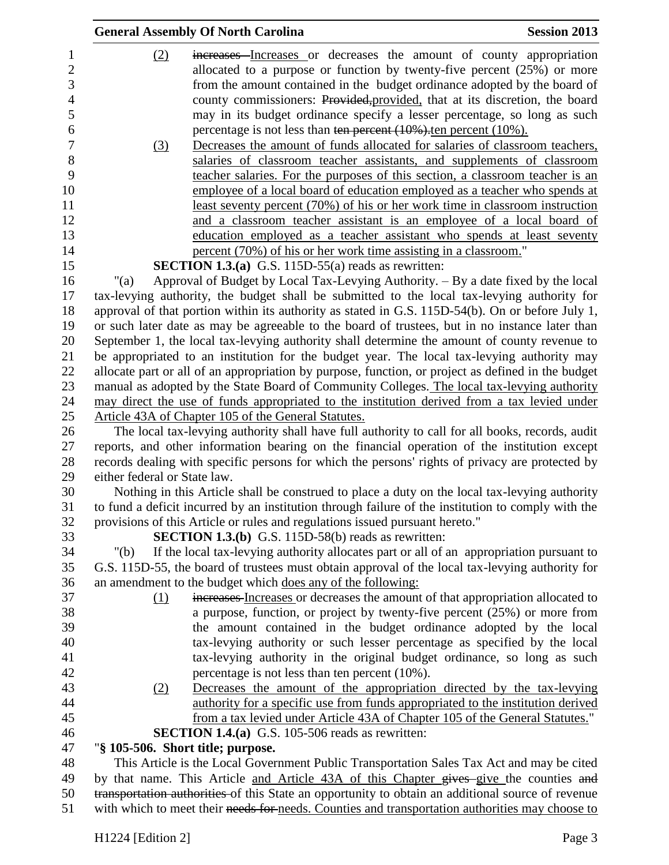|                  |                              | <b>General Assembly Of North Carolina</b>                                    | <b>Session 2013</b>                                                                                                                                      |
|------------------|------------------------------|------------------------------------------------------------------------------|----------------------------------------------------------------------------------------------------------------------------------------------------------|
| 1                | (2)                          |                                                                              | increases Increases or decreases the amount of county appropriation                                                                                      |
| $\mathbf{2}$     |                              |                                                                              | allocated to a purpose or function by twenty-five percent (25%) or more                                                                                  |
| 3                |                              |                                                                              | from the amount contained in the budget ordinance adopted by the board of                                                                                |
| $\overline{4}$   |                              |                                                                              | county commissioners: Provided, provided, that at its discretion, the board                                                                              |
| 5                |                              |                                                                              | may in its budget ordinance specify a lesser percentage, so long as such                                                                                 |
| 6                |                              | percentage is not less than ten percent $(10\%)$ ten percent $(10\%)$ .      |                                                                                                                                                          |
| $\boldsymbol{7}$ | (3)                          |                                                                              | Decreases the amount of funds allocated for salaries of classroom teachers,                                                                              |
| 8                |                              |                                                                              | salaries of classroom teacher assistants, and supplements of classroom                                                                                   |
| 9                |                              |                                                                              | teacher salaries. For the purposes of this section, a classroom teacher is an                                                                            |
| 10               |                              |                                                                              | employee of a local board of education employed as a teacher who spends at                                                                               |
| 11               |                              |                                                                              | <u>least seventy percent (70%) of his or her work time in classroom instruction</u>                                                                      |
| 12               |                              |                                                                              | and a classroom teacher assistant is an employee of a local board of                                                                                     |
| 13               |                              |                                                                              | education employed as a teacher assistant who spends at least seventy                                                                                    |
| 14               |                              | percent (70%) of his or her work time assisting in a classroom."             |                                                                                                                                                          |
| 15               |                              | <b>SECTION 1.3.(a)</b> G.S. 115D-55(a) reads as rewritten:                   |                                                                                                                                                          |
| 16               | $"$ (a)                      |                                                                              | Approval of Budget by Local Tax-Levying Authority. - By a date fixed by the local                                                                        |
| 17               |                              |                                                                              | tax-levying authority, the budget shall be submitted to the local tax-levying authority for                                                              |
| 18               |                              |                                                                              | approval of that portion within its authority as stated in G.S. 115D-54(b). On or before July 1,                                                         |
| 19               |                              |                                                                              | or such later date as may be agreeable to the board of trustees, but in no instance later than                                                           |
| 20               |                              |                                                                              | September 1, the local tax-levying authority shall determine the amount of county revenue to                                                             |
| 21               |                              |                                                                              | be appropriated to an institution for the budget year. The local tax-levying authority may                                                               |
| 22               |                              |                                                                              | allocate part or all of an appropriation by purpose, function, or project as defined in the budget                                                       |
| 23               |                              |                                                                              | manual as adopted by the State Board of Community Colleges. The local tax-levying authority                                                              |
| 24               |                              |                                                                              | may direct the use of funds appropriated to the institution derived from a tax levied under                                                              |
| 25               |                              | Article 43A of Chapter 105 of the General Statutes.                          |                                                                                                                                                          |
| 26               |                              |                                                                              | The local tax-levying authority shall have full authority to call for all books, records, audit                                                          |
| 27               |                              |                                                                              | reports, and other information bearing on the financial operation of the institution except                                                              |
| 28               |                              |                                                                              | records dealing with specific persons for which the persons' rights of privacy are protected by                                                          |
| 29               | either federal or State law. |                                                                              |                                                                                                                                                          |
| 30               |                              |                                                                              | Nothing in this Article shall be construed to place a duty on the local tax-levying authority                                                            |
| 31               |                              |                                                                              | to fund a deficit incurred by an institution through failure of the institution to comply with the                                                       |
| 32               |                              | provisions of this Article or rules and regulations issued pursuant hereto." |                                                                                                                                                          |
| 33               |                              | <b>SECTION 1.3.(b)</b> G.S. 115D-58(b) reads as rewritten:                   |                                                                                                                                                          |
| 34               | " $(b)$                      |                                                                              | If the local tax-levying authority allocates part or all of an appropriation pursuant to                                                                 |
| 35               |                              |                                                                              | G.S. 115D-55, the board of trustees must obtain approval of the local tax-levying authority for                                                          |
| 36               |                              | an amendment to the budget which does any of the following:                  |                                                                                                                                                          |
| 37               | (1)                          |                                                                              | increases Increases or decreases the amount of that appropriation allocated to                                                                           |
| 38               |                              |                                                                              | a purpose, function, or project by twenty-five percent (25%) or more from                                                                                |
| 39<br>40         |                              |                                                                              | the amount contained in the budget ordinance adopted by the local<br>tax-levying authority or such lesser percentage as specified by the local           |
| 41               |                              |                                                                              |                                                                                                                                                          |
| 42               |                              |                                                                              | tax-levying authority in the original budget ordinance, so long as such                                                                                  |
| 43               |                              | percentage is not less than ten percent $(10\%)$ .                           |                                                                                                                                                          |
| 44               | (2)                          |                                                                              | Decreases the amount of the appropriation directed by the tax-levying<br>authority for a specific use from funds appropriated to the institution derived |
| 45               |                              |                                                                              | from a tax levied under Article 43A of Chapter 105 of the General Statutes."                                                                             |
| 46               |                              | <b>SECTION 1.4.(a)</b> G.S. 105-506 reads as rewritten:                      |                                                                                                                                                          |
| 47               |                              | "§ 105-506. Short title; purpose.                                            |                                                                                                                                                          |
| 48               |                              |                                                                              | This Article is the Local Government Public Transportation Sales Tax Act and may be cited                                                                |
| 49               |                              |                                                                              | by that name. This Article and Article 43A of this Chapter gives give the counties and                                                                   |
| 50               |                              |                                                                              | transportation authorities of this State an opportunity to obtain an additional source of revenue                                                        |
| 51               |                              |                                                                              | with which to meet their needs for needs. Counties and transportation authorities may choose to                                                          |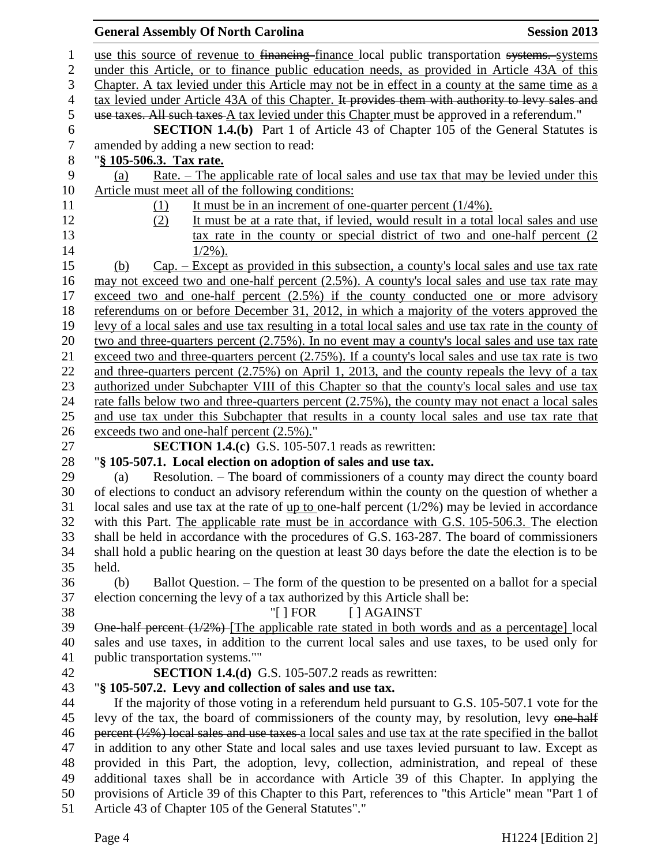## **General Assembly Of North Carolina Session 2013** 1 use this source of revenue to <del>financing</del>-finance local public transportation systems. Systems under this Article, or to finance public education needs, as provided in Article 43A of this Chapter. A tax levied under this Article may not be in effect in a county at the same time as a 4 tax levied under Article 43A of this Chapter. It provides them with authority to levy sales and use taxes. All such taxes A tax levied under this Chapter must be approved in a referendum." **SECTION 1.4.(b)** Part 1 of Article 43 of Chapter 105 of the General Statutes is amended by adding a new section to read: amended by adding a new section to read: "**§ 105-506.3. Tax rate.** (a) Rate. – The applicable rate of local sales and use tax that may be levied under this Article must meet all of the following conditions: (1) It must be in an increment of one-quarter percent (1/4%). (2) It must be at a rate that, if levied, would result in a total local sales and use tax rate in the county or special district of two and one-half percent (2  $14 \t1/2\%$ ). (b) Cap. – Except as provided in this subsection, a county's local sales and use tax rate may not exceed two and one-half percent (2.5%). A county's local sales and use tax rate may 17 exceed two and one-half percent (2.5%) if the county conducted one or more advisory referendums on or before December 31, 2012, in which a majority of the voters approved the levy of a local sales and use tax resulting in a total local sales and use tax rate in the county of two and three-quarters percent (2.75%). In no event may a county's local sales and use tax rate 21 exceed two and three-quarters percent (2.75%). If a county's local sales and use tax rate is two and three-quarters percent (2.75%) on April 1, 2013, and the county repeals the levy of a tax authorized under Subchapter VIII of this Chapter so that the county's local sales and use tax rate falls below two and three-quarters percent (2.75%), the county may not enact a local sales and use tax under this Subchapter that results in a county local sales and use tax rate that exceeds two and one-half percent (2.5%)." **SECTION 1.4.(c)** G.S. 105-507.1 reads as rewritten: "**§ 105-507.1. Local election on adoption of sales and use tax.** (a) Resolution. – The board of commissioners of a county may direct the county board of elections to conduct an advisory referendum within the county on the question of whether a local sales and use tax at the rate of up to one-half percent (1/2%) may be levied in accordance with this Part. The applicable rate must be in accordance with G.S. 105-506.3. The election shall be held in accordance with the procedures of G.S. 163-287. The board of commissioners shall hold a public hearing on the question at least 30 days before the date the election is to be held. (b) Ballot Question. – The form of the question to be presented on a ballot for a special election concerning the levy of a tax authorized by this Article shall be: 38 "[ ] FOR [ ] AGAINST One-half percent (1/2%) [The applicable rate stated in both words and as a percentage] local sales and use taxes, in addition to the current local sales and use taxes, to be used only for public transportation systems."" **SECTION 1.4.(d)** G.S. 105-507.2 reads as rewritten: "**§ 105-507.2. Levy and collection of sales and use tax.** If the majority of those voting in a referendum held pursuant to G.S. 105-507.1 vote for the 45 levy of the tax, the board of commissioners of the county may, by resolution, levy one-half 46 percent  $(\frac{1}{2}\%)$  local sales and use taxes a local sales and use tax at the rate specified in the ballot in addition to any other State and local sales and use taxes levied pursuant to law. Except as provided in this Part, the adoption, levy, collection, administration, and repeal of these additional taxes shall be in accordance with Article 39 of this Chapter. In applying the provisions of Article 39 of this Chapter to this Part, references to "this Article" mean "Part 1 of Article 43 of Chapter 105 of the General Statutes"."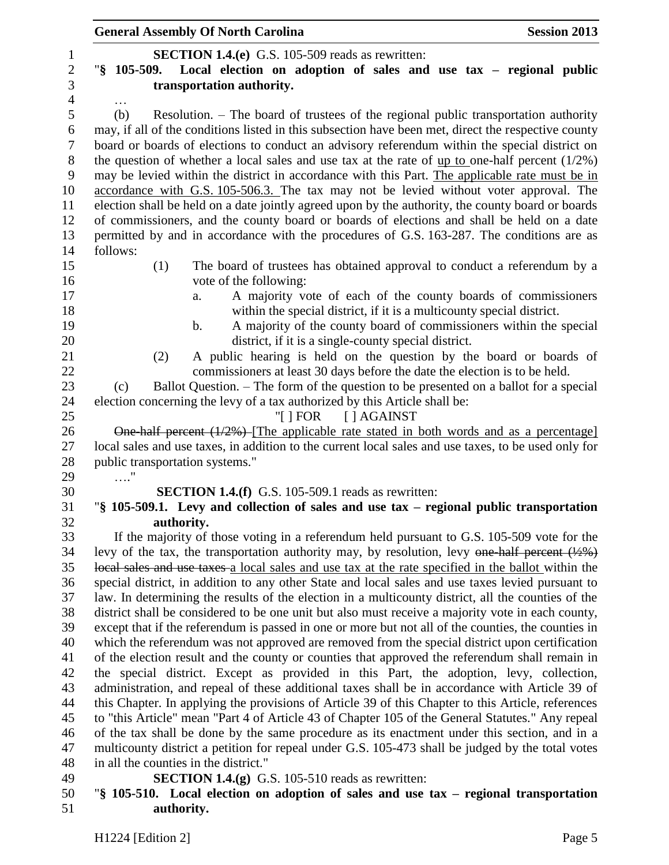|                | <b>General Assembly Of North Carolina</b><br><b>Session 2013</b>                                                     |
|----------------|----------------------------------------------------------------------------------------------------------------------|
| $\mathbf{1}$   | <b>SECTION 1.4.(e)</b> G.S. 105-509 reads as rewritten:                                                              |
| $\sqrt{2}$     | "§ 105-509. Local election on adoption of sales and use tax - regional public                                        |
| $\overline{3}$ | transportation authority.                                                                                            |
| $\overline{4}$ |                                                                                                                      |
| 5              | (b)<br>Resolution. – The board of trustees of the regional public transportation authority                           |
| 6              | may, if all of the conditions listed in this subsection have been met, direct the respective county                  |
| $\overline{7}$ | board or boards of elections to conduct an advisory referendum within the special district on                        |
| $8\,$          | the question of whether a local sales and use tax at the rate of up to one-half percent $(1/2%)$                     |
| 9              | may be levied within the district in accordance with this Part. The applicable rate must be in                       |
| 10             | accordance with G.S. 105-506.3. The tax may not be levied without voter approval. The                                |
| 11             | election shall be held on a date jointly agreed upon by the authority, the county board or boards                    |
| 12             | of commissioners, and the county board or boards of elections and shall be held on a date                            |
| 13             | permitted by and in accordance with the procedures of G.S. 163-287. The conditions are as                            |
| 14             | follows:                                                                                                             |
| 15             | (1)<br>The board of trustees has obtained approval to conduct a referendum by a                                      |
| 16             | vote of the following:                                                                                               |
| 17             | A majority vote of each of the county boards of commissioners<br>a.                                                  |
| 18             | within the special district, if it is a multicounty special district.                                                |
| 19             | A majority of the county board of commissioners within the special<br>$\mathbf b$ .                                  |
| 20             | district, if it is a single-county special district.                                                                 |
| 21             | A public hearing is held on the question by the board or boards of<br>(2)                                            |
| 22             | commissioners at least 30 days before the date the election is to be held.                                           |
| 23             | Ballot Question. – The form of the question to be presented on a ballot for a special<br>(c)                         |
| 24             | election concerning the levy of a tax authorized by this Article shall be:                                           |
| 25             | " $\lceil$   FOR     AGAINST                                                                                         |
| 26             | One half percent $(1/2%)$ The applicable rate stated in both words and as a percentage                               |
| 27             | local sales and use taxes, in addition to the current local sales and use taxes, to be used only for                 |
| 28             | public transportation systems."                                                                                      |
| 29             | $\sim$                                                                                                               |
| 30             | <b>SECTION 1.4.(f)</b> G.S. 105-509.1 reads as rewritten:                                                            |
| 31             | "\\$ 105-509.1. Levy and collection of sales and use tax – regional public transportation                            |
| 32             | authority.                                                                                                           |
| 33             | If the majority of those voting in a referendum held pursuant to G.S. 105-509 vote for the                           |
| 34             | levy of the tax, the transportation authority may, by resolution, levy one-half percent $(\frac{1}{2}, \frac{1}{6})$ |
| 35             | local sales and use taxes a local sales and use tax at the rate specified in the ballot within the                   |
| 36             | special district, in addition to any other State and local sales and use taxes levied pursuant to                    |
| 37             | law. In determining the results of the election in a multicounty district, all the counties of the                   |
| 38             | district shall be considered to be one unit but also must receive a majority vote in each county,                    |
| 39             | except that if the referendum is passed in one or more but not all of the counties, the counties in                  |
| 40             | which the referendum was not approved are removed from the special district upon certification                       |
| 41             | of the election result and the county or counties that approved the referendum shall remain in                       |
| 42             | the special district. Except as provided in this Part, the adoption, levy, collection,                               |
| 43             | administration, and repeal of these additional taxes shall be in accordance with Article 39 of                       |
| 44             | this Chapter. In applying the provisions of Article 39 of this Chapter to this Article, references                   |
| 45             | to "this Article" mean "Part 4 of Article 43 of Chapter 105 of the General Statutes." Any repeal                     |
| 46             | of the tax shall be done by the same procedure as its enactment under this section, and in a                         |
| 47             | multicounty district a petition for repeal under G.S. 105-473 shall be judged by the total votes                     |
| 48             | in all the counties in the district."                                                                                |
| 49             | <b>SECTION 1.4.(g)</b> G.S. 105-510 reads as rewritten:                                                              |
| 50             | "\\$ 105-510. Local election on adoption of sales and use tax – regional transportation                              |
| 51             | authority.                                                                                                           |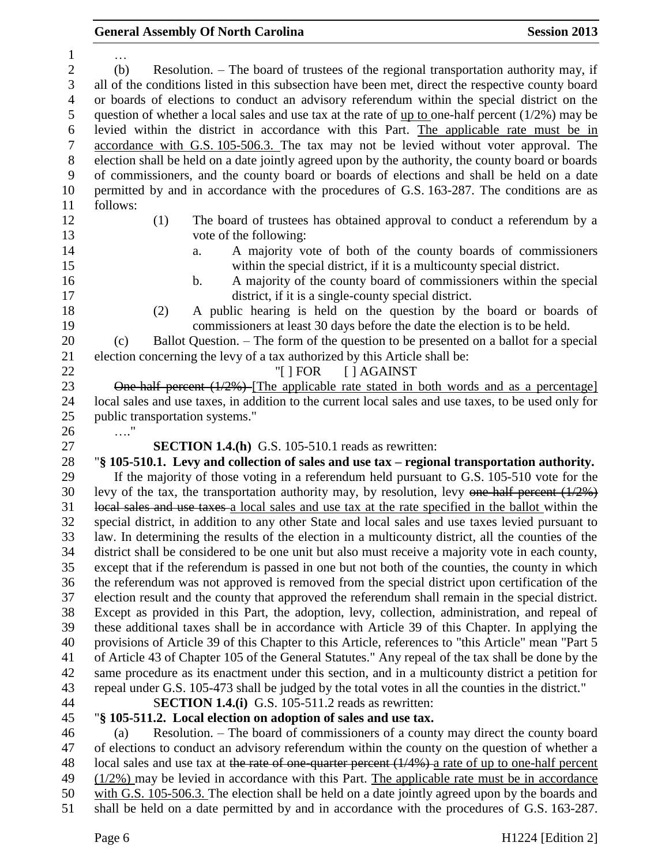| $\mathbf{1}$     |                                                                                                                                                                                                         |
|------------------|---------------------------------------------------------------------------------------------------------------------------------------------------------------------------------------------------------|
| $\mathbf{2}$     | Resolution. – The board of trustees of the regional transportation authority may, if<br>(b)                                                                                                             |
| 3                | all of the conditions listed in this subsection have been met, direct the respective county board                                                                                                       |
| $\overline{4}$   | or boards of elections to conduct an advisory referendum within the special district on the                                                                                                             |
| $\mathfrak{S}$   | question of whether a local sales and use tax at the rate of $\mu$ to one-half percent (1/2%) may be                                                                                                    |
| 6                | levied within the district in accordance with this Part. The applicable rate must be in                                                                                                                 |
| $\boldsymbol{7}$ | accordance with G.S. 105-506.3. The tax may not be levied without voter approval. The                                                                                                                   |
| $8\,$            | election shall be held on a date jointly agreed upon by the authority, the county board or boards                                                                                                       |
| 9                | of commissioners, and the county board or boards of elections and shall be held on a date                                                                                                               |
| 10               | permitted by and in accordance with the procedures of G.S. 163-287. The conditions are as                                                                                                               |
| 11               | follows:                                                                                                                                                                                                |
| 12               | The board of trustees has obtained approval to conduct a referendum by a<br>(1)                                                                                                                         |
| 13               | vote of the following:                                                                                                                                                                                  |
| 14               | A majority vote of both of the county boards of commissioners<br>a.                                                                                                                                     |
| 15               | within the special district, if it is a multicounty special district.                                                                                                                                   |
| 16               | A majority of the county board of commissioners within the special<br>$\mathbf b$ .                                                                                                                     |
| 17               | district, if it is a single-county special district.                                                                                                                                                    |
| 18               | A public hearing is held on the question by the board or boards of<br>(2)                                                                                                                               |
| 19               | commissioners at least 30 days before the date the election is to be held.                                                                                                                              |
| 20               | Ballot Question. – The form of the question to be presented on a ballot for a special<br>(c)                                                                                                            |
| 21               | election concerning the levy of a tax authorized by this Article shall be:                                                                                                                              |
| 22               | "[ $\vert$ FOR<br>[ ] AGAINST                                                                                                                                                                           |
| 23               | One-half percent $(1/2%)$ -[The applicable rate stated in both words and as a percentage]                                                                                                               |
| 24               | local sales and use taxes, in addition to the current local sales and use taxes, to be used only for                                                                                                    |
| 25               | public transportation systems."                                                                                                                                                                         |
|                  |                                                                                                                                                                                                         |
|                  |                                                                                                                                                                                                         |
| 26               | $\ldots$ "                                                                                                                                                                                              |
| 27               | <b>SECTION 1.4.(h)</b> G.S. 105-510.1 reads as rewritten:                                                                                                                                               |
| 28               | "§ 105-510.1. Levy and collection of sales and use tax – regional transportation authority.                                                                                                             |
| 29               | If the majority of those voting in a referendum held pursuant to G.S. 105-510 vote for the                                                                                                              |
| 30               | levy of the tax, the transportation authority may, by resolution, levy one half percent $(1/2%)$                                                                                                        |
| 31               | local sales and use taxes a local sales and use tax at the rate specified in the ballot within the                                                                                                      |
| 32               | special district, in addition to any other State and local sales and use taxes levied pursuant to                                                                                                       |
| 33               | law. In determining the results of the election in a multicounty district, all the counties of the                                                                                                      |
| 34               | district shall be considered to be one unit but also must receive a majority vote in each county,                                                                                                       |
| 35               | except that if the referendum is passed in one but not both of the counties, the county in which                                                                                                        |
| 36               | the referendum was not approved is removed from the special district upon certification of the                                                                                                          |
| 37               | election result and the county that approved the referendum shall remain in the special district.                                                                                                       |
| 38               | Except as provided in this Part, the adoption, levy, collection, administration, and repeal of                                                                                                          |
| 39               | these additional taxes shall be in accordance with Article 39 of this Chapter. In applying the                                                                                                          |
| 40               | provisions of Article 39 of this Chapter to this Article, references to "this Article" mean "Part 5                                                                                                     |
| 41               | of Article 43 of Chapter 105 of the General Statutes." Any repeal of the tax shall be done by the                                                                                                       |
| 42               | same procedure as its enactment under this section, and in a multicounty district a petition for                                                                                                        |
| 43               | repeal under G.S. 105-473 shall be judged by the total votes in all the counties in the district."                                                                                                      |
| 44               | <b>SECTION 1.4.(i)</b> G.S. 105-511.2 reads as rewritten:                                                                                                                                               |
| 45               | "\\$ 105-511.2. Local election on adoption of sales and use tax.                                                                                                                                        |
| 46               | Resolution. – The board of commissioners of a county may direct the county board<br>(a)                                                                                                                 |
| 47               | of elections to conduct an advisory referendum within the county on the question of whether a                                                                                                           |
| 48<br>49         | local sales and use tax at the rate of one-quarter percent $(1/4%)$ a rate of up to one-half percent<br>$(1/2\%)$ may be levied in accordance with this Part. The applicable rate must be in accordance |

50 with G.S. 105-506.3. The election shall be held on a date jointly agreed upon by the boards and shall be held on a date permitted by and in accordance with the procedures of G.S. 163-287.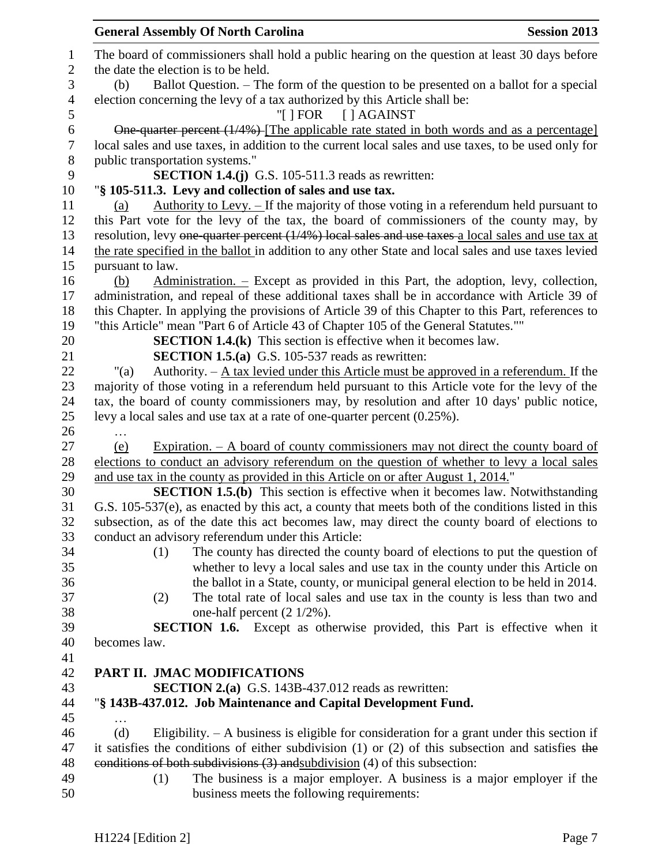|                  |                                 | <b>General Assembly Of North Carolina</b>                                                             | <b>Session 2013</b> |
|------------------|---------------------------------|-------------------------------------------------------------------------------------------------------|---------------------|
| $\mathbf{1}$     |                                 | The board of commissioners shall hold a public hearing on the question at least 30 days before        |                     |
| $\mathbf{2}$     |                                 | the date the election is to be held.                                                                  |                     |
| 3                | (b)                             | Ballot Question. – The form of the question to be presented on a ballot for a special                 |                     |
| $\overline{4}$   |                                 | election concerning the levy of a tax authorized by this Article shall be:                            |                     |
| 5                |                                 | "[ ] FOR [ ] AGAINST                                                                                  |                     |
| $\boldsymbol{6}$ |                                 | One quarter percent (1/4%)-[The applicable rate stated in both words and as a percentage]             |                     |
| $\tau$           |                                 | local sales and use taxes, in addition to the current local sales and use taxes, to be used only for  |                     |
| $8\,$            | public transportation systems." |                                                                                                       |                     |
| 9                |                                 | <b>SECTION 1.4.(j)</b> G.S. 105-511.3 reads as rewritten:                                             |                     |
| 10               |                                 | "§ 105-511.3. Levy and collection of sales and use tax.                                               |                     |
| 11               | (a)                             | Authority to Levy. $-$ If the majority of those voting in a referendum held pursuant to               |                     |
| 12               |                                 | this Part vote for the levy of the tax, the board of commissioners of the county may, by              |                     |
| 13               |                                 | resolution, levy one-quarter percent (1/4%) local sales and use taxes-a local sales and use tax at    |                     |
| 14               |                                 | the rate specified in the ballot in addition to any other State and local sales and use taxes levied  |                     |
| 15               | pursuant to law.                |                                                                                                       |                     |
| 16               | (b)                             | $Administration.$ – Except as provided in this Part, the adoption, levy, collection,                  |                     |
| 17               |                                 | administration, and repeal of these additional taxes shall be in accordance with Article 39 of        |                     |
| 18               |                                 | this Chapter. In applying the provisions of Article 39 of this Chapter to this Part, references to    |                     |
| 19               |                                 | "this Article" mean "Part 6 of Article 43 of Chapter 105 of the General Statutes.""                   |                     |
| 20               |                                 | <b>SECTION 1.4.(k)</b> This section is effective when it becomes law.                                 |                     |
| 21               |                                 | <b>SECTION 1.5.(a)</b> G.S. 105-537 reads as rewritten:                                               |                     |
| 22               | " $(a)$                         | Authority. $-\underline{A}$ tax levied under this Article must be approved in a referendum. If the    |                     |
| 23               |                                 | majority of those voting in a referendum held pursuant to this Article vote for the levy of the       |                     |
| 24               |                                 | tax, the board of county commissioners may, by resolution and after 10 days' public notice,           |                     |
| 25               |                                 | levy a local sales and use tax at a rate of one-quarter percent (0.25%).                              |                     |
| 26               |                                 |                                                                                                       |                     |
| 27               | (e)                             | Expiration. $-$ A board of county commissioners may not direct the county board of                    |                     |
| 28               |                                 | elections to conduct an advisory referendum on the question of whether to levy a local sales          |                     |
| 29               |                                 | and use tax in the county as provided in this Article on or after August 1, 2014."                    |                     |
| 30               |                                 | <b>SECTION 1.5.(b)</b> This section is effective when it becomes law. Notwithstanding                 |                     |
| 31               |                                 | G.S. 105-537(e), as enacted by this act, a county that meets both of the conditions listed in this    |                     |
| 32               |                                 | subsection, as of the date this act becomes law, may direct the county board of elections to          |                     |
| 33               |                                 | conduct an advisory referendum under this Article:                                                    |                     |
| 34               | (1)                             | The county has directed the county board of elections to put the question of                          |                     |
| 35               |                                 | whether to levy a local sales and use tax in the county under this Article on                         |                     |
| 36               |                                 | the ballot in a State, county, or municipal general election to be held in 2014.                      |                     |
| 37               | (2)                             | The total rate of local sales and use tax in the county is less than two and                          |                     |
| 38               |                                 | one-half percent $(2 \frac{1}{2}\%)$ .                                                                |                     |
| 39               |                                 | <b>SECTION 1.6.</b> Except as otherwise provided, this Part is effective when it                      |                     |
| 40               | becomes law.                    |                                                                                                       |                     |
| 41               |                                 |                                                                                                       |                     |
| 42               |                                 | PART II. JMAC MODIFICATIONS                                                                           |                     |
| 43               |                                 | <b>SECTION 2.(a)</b> G.S. 143B-437.012 reads as rewritten:                                            |                     |
| 44               |                                 | "§ 143B-437.012. Job Maintenance and Capital Development Fund.                                        |                     |
| 45               |                                 |                                                                                                       |                     |
| 46               | (d)                             | Eligibility. $- A$ business is eligible for consideration for a grant under this section if           |                     |
| 47               |                                 | it satisfies the conditions of either subdivision $(1)$ or $(2)$ of this subsection and satisfies the |                     |
| 48               |                                 | conditions of both subdivisions $(3)$ and subdivision $(4)$ of this subsection:                       |                     |
| 49               | (1)                             | The business is a major employer. A business is a major employer if the                               |                     |
| 50               |                                 | business meets the following requirements:                                                            |                     |
|                  |                                 |                                                                                                       |                     |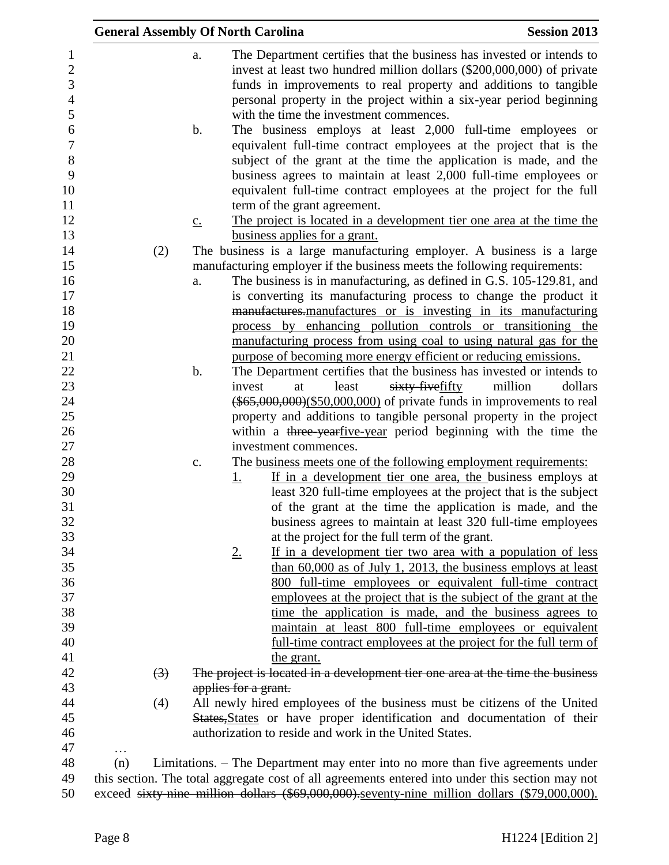|                                                                                                                |     |                  |                   | <b>General Assembly Of North Carolina</b> |                                                                                                                                                                                                                                                                                                                                                                                                                                                                                                                                                                                                                                                                                            | <b>Session 2013</b> |
|----------------------------------------------------------------------------------------------------------------|-----|------------------|-------------------|-------------------------------------------|--------------------------------------------------------------------------------------------------------------------------------------------------------------------------------------------------------------------------------------------------------------------------------------------------------------------------------------------------------------------------------------------------------------------------------------------------------------------------------------------------------------------------------------------------------------------------------------------------------------------------------------------------------------------------------------------|---------------------|
| $\mathbf{1}$<br>$\sqrt{2}$<br>$\overline{3}$<br>$\overline{4}$<br>5<br>6<br>$\overline{7}$<br>$8\,$<br>9<br>10 |     |                  | a.<br>b.          |                                           | The Department certifies that the business has invested or intends to<br>invest at least two hundred million dollars (\$200,000,000) of private<br>funds in improvements to real property and additions to tangible<br>personal property in the project within a six-year period beginning<br>with the time the investment commences.<br>The business employs at least 2,000 full-time employees or<br>equivalent full-time contract employees at the project that is the<br>subject of the grant at the time the application is made, and the<br>business agrees to maintain at least 2,000 full-time employees or<br>equivalent full-time contract employees at the project for the full |                     |
| 11                                                                                                             |     |                  |                   | term of the grant agreement.              |                                                                                                                                                                                                                                                                                                                                                                                                                                                                                                                                                                                                                                                                                            |                     |
| 12                                                                                                             |     |                  | $\underline{c}$ . |                                           | The project is located in a development tier one area at the time the                                                                                                                                                                                                                                                                                                                                                                                                                                                                                                                                                                                                                      |                     |
| 13                                                                                                             |     |                  |                   | business applies for a grant.             |                                                                                                                                                                                                                                                                                                                                                                                                                                                                                                                                                                                                                                                                                            |                     |
| 14<br>15                                                                                                       |     | (2)              |                   |                                           | The business is a large manufacturing employer. A business is a large<br>manufacturing employer if the business meets the following requirements:                                                                                                                                                                                                                                                                                                                                                                                                                                                                                                                                          |                     |
| 16                                                                                                             |     |                  | a.                |                                           | The business is in manufacturing, as defined in G.S. 105-129.81, and                                                                                                                                                                                                                                                                                                                                                                                                                                                                                                                                                                                                                       |                     |
| 17                                                                                                             |     |                  |                   |                                           | is converting its manufacturing process to change the product it                                                                                                                                                                                                                                                                                                                                                                                                                                                                                                                                                                                                                           |                     |
| 18                                                                                                             |     |                  |                   |                                           | manufactures-manufactures or is investing in its manufacturing                                                                                                                                                                                                                                                                                                                                                                                                                                                                                                                                                                                                                             |                     |
| 19                                                                                                             |     |                  |                   |                                           | process by enhancing pollution controls or transitioning the                                                                                                                                                                                                                                                                                                                                                                                                                                                                                                                                                                                                                               |                     |
| 20                                                                                                             |     |                  |                   |                                           | manufacturing process from using coal to using natural gas for the                                                                                                                                                                                                                                                                                                                                                                                                                                                                                                                                                                                                                         |                     |
| 21                                                                                                             |     |                  |                   |                                           | purpose of becoming more energy efficient or reducing emissions.                                                                                                                                                                                                                                                                                                                                                                                                                                                                                                                                                                                                                           |                     |
| 22                                                                                                             |     |                  | b.                |                                           | The Department certifies that the business has invested or intends to                                                                                                                                                                                                                                                                                                                                                                                                                                                                                                                                                                                                                      |                     |
| 23                                                                                                             |     |                  |                   | invest<br>at                              | least<br>sixty-fivefifty                                                                                                                                                                                                                                                                                                                                                                                                                                                                                                                                                                                                                                                                   | million<br>dollars  |
| 24                                                                                                             |     |                  |                   |                                           | $(*65,000,000)(\$50,000,000)$ of private funds in improvements to real                                                                                                                                                                                                                                                                                                                                                                                                                                                                                                                                                                                                                     |                     |
| 25                                                                                                             |     |                  |                   |                                           | property and additions to tangible personal property in the project                                                                                                                                                                                                                                                                                                                                                                                                                                                                                                                                                                                                                        |                     |
| 26                                                                                                             |     |                  |                   |                                           | within a three year five-year period beginning with the time the                                                                                                                                                                                                                                                                                                                                                                                                                                                                                                                                                                                                                           |                     |
| 27                                                                                                             |     |                  |                   | investment commences.                     |                                                                                                                                                                                                                                                                                                                                                                                                                                                                                                                                                                                                                                                                                            |                     |
| 28<br>29                                                                                                       |     |                  | $\mathbf{C}$ .    |                                           | The business meets one of the following employment requirements:<br>If in a development tier one area, the business employs at                                                                                                                                                                                                                                                                                                                                                                                                                                                                                                                                                             |                     |
| 30                                                                                                             |     |                  |                   | <u>1.</u>                                 | least 320 full-time employees at the project that is the subject                                                                                                                                                                                                                                                                                                                                                                                                                                                                                                                                                                                                                           |                     |
| 31                                                                                                             |     |                  |                   |                                           | of the grant at the time the application is made, and the                                                                                                                                                                                                                                                                                                                                                                                                                                                                                                                                                                                                                                  |                     |
| 32                                                                                                             |     |                  |                   |                                           | business agrees to maintain at least 320 full-time employees                                                                                                                                                                                                                                                                                                                                                                                                                                                                                                                                                                                                                               |                     |
| 33                                                                                                             |     |                  |                   |                                           | at the project for the full term of the grant.                                                                                                                                                                                                                                                                                                                                                                                                                                                                                                                                                                                                                                             |                     |
| 34                                                                                                             |     |                  |                   | 2.                                        | If in a development tier two area with a population of less                                                                                                                                                                                                                                                                                                                                                                                                                                                                                                                                                                                                                                |                     |
| 35                                                                                                             |     |                  |                   |                                           | than $60,000$ as of July 1, 2013, the business employs at least                                                                                                                                                                                                                                                                                                                                                                                                                                                                                                                                                                                                                            |                     |
| 36                                                                                                             |     |                  |                   |                                           | 800 full-time employees or equivalent full-time contract                                                                                                                                                                                                                                                                                                                                                                                                                                                                                                                                                                                                                                   |                     |
| 37                                                                                                             |     |                  |                   |                                           | employees at the project that is the subject of the grant at the                                                                                                                                                                                                                                                                                                                                                                                                                                                                                                                                                                                                                           |                     |
| 38                                                                                                             |     |                  |                   |                                           | time the application is made, and the business agrees to                                                                                                                                                                                                                                                                                                                                                                                                                                                                                                                                                                                                                                   |                     |
| 39                                                                                                             |     |                  |                   |                                           | maintain at least 800 full-time employees or equivalent                                                                                                                                                                                                                                                                                                                                                                                                                                                                                                                                                                                                                                    |                     |
| 40                                                                                                             |     |                  |                   |                                           | full-time contract employees at the project for the full term of                                                                                                                                                                                                                                                                                                                                                                                                                                                                                                                                                                                                                           |                     |
| 41                                                                                                             |     |                  |                   | the grant.                                |                                                                                                                                                                                                                                                                                                                                                                                                                                                                                                                                                                                                                                                                                            |                     |
| 42                                                                                                             |     | $\left(3\right)$ |                   |                                           | The project is located in a development tier one area at the time the business                                                                                                                                                                                                                                                                                                                                                                                                                                                                                                                                                                                                             |                     |
| 43                                                                                                             |     |                  |                   | applies for a grant.                      |                                                                                                                                                                                                                                                                                                                                                                                                                                                                                                                                                                                                                                                                                            |                     |
| 44                                                                                                             |     | (4)              |                   |                                           | All newly hired employees of the business must be citizens of the United                                                                                                                                                                                                                                                                                                                                                                                                                                                                                                                                                                                                                   |                     |
| 45                                                                                                             |     |                  |                   |                                           | States, States or have proper identification and documentation of their                                                                                                                                                                                                                                                                                                                                                                                                                                                                                                                                                                                                                    |                     |
| 46                                                                                                             |     |                  |                   |                                           | authorization to reside and work in the United States.                                                                                                                                                                                                                                                                                                                                                                                                                                                                                                                                                                                                                                     |                     |
| 47                                                                                                             | .   |                  |                   |                                           |                                                                                                                                                                                                                                                                                                                                                                                                                                                                                                                                                                                                                                                                                            |                     |
| 48                                                                                                             | (n) |                  |                   |                                           | Limitations. – The Department may enter into no more than five agreements under                                                                                                                                                                                                                                                                                                                                                                                                                                                                                                                                                                                                            |                     |
| 49<br>50                                                                                                       |     |                  |                   |                                           | this section. The total aggregate cost of all agreements entered into under this section may not<br>exceed sixty-nine million dollars (\$69,000,000).seventy-nine million dollars (\$79,000,000).                                                                                                                                                                                                                                                                                                                                                                                                                                                                                          |                     |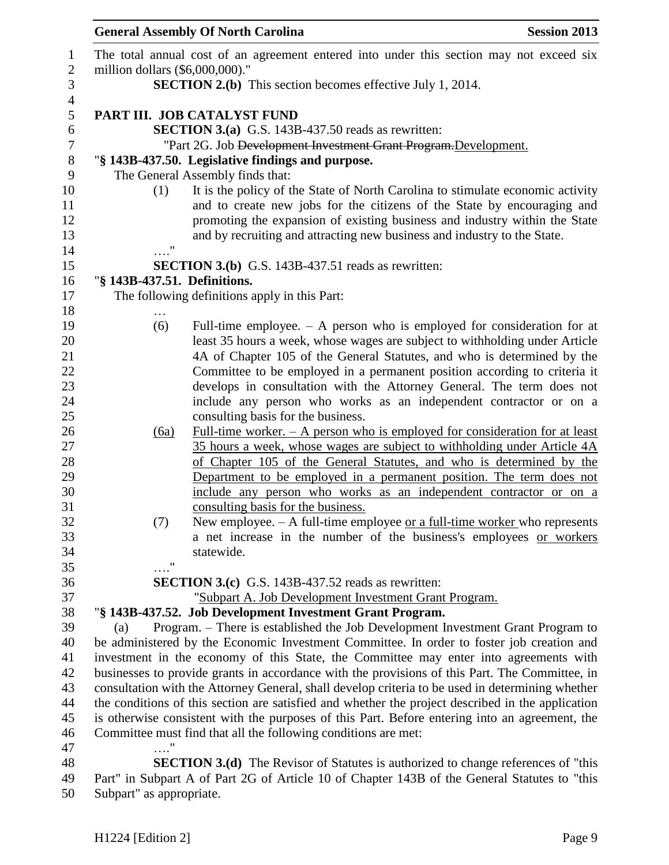| The total annual cost of an agreement entered into under this section may not exceed six                                                                                                           |  |
|----------------------------------------------------------------------------------------------------------------------------------------------------------------------------------------------------|--|
| million dollars (\$6,000,000)."                                                                                                                                                                    |  |
| <b>SECTION 2.(b)</b> This section becomes effective July 1, 2014.                                                                                                                                  |  |
| PART III. JOB CATALYST FUND                                                                                                                                                                        |  |
| <b>SECTION 3.(a)</b> G.S. 143B-437.50 reads as rewritten:                                                                                                                                          |  |
| "Part 2G. Job Development Investment Grant Program. Development.                                                                                                                                   |  |
| "§ 143B-437.50. Legislative findings and purpose.                                                                                                                                                  |  |
| The General Assembly finds that:                                                                                                                                                                   |  |
| It is the policy of the State of North Carolina to stimulate economic activity<br>(1)                                                                                                              |  |
| and to create new jobs for the citizens of the State by encouraging and                                                                                                                            |  |
| promoting the expansion of existing business and industry within the State                                                                                                                         |  |
| and by recruiting and attracting new business and industry to the State.                                                                                                                           |  |
| $\pmb{\mathsf{H}}$                                                                                                                                                                                 |  |
| <b>SECTION 3.(b)</b> G.S. 143B-437.51 reads as rewritten:                                                                                                                                          |  |
| "§ 143B-437.51. Definitions.                                                                                                                                                                       |  |
| The following definitions apply in this Part:                                                                                                                                                      |  |
| .                                                                                                                                                                                                  |  |
| Full-time employee. $-$ A person who is employed for consideration for at<br>(6)                                                                                                                   |  |
| least 35 hours a week, whose wages are subject to withholding under Article                                                                                                                        |  |
| 4A of Chapter 105 of the General Statutes, and who is determined by the                                                                                                                            |  |
| Committee to be employed in a permanent position according to criteria it                                                                                                                          |  |
| develops in consultation with the Attorney General. The term does not<br>include any person who works as an independent contractor or on a                                                         |  |
| consulting basis for the business.                                                                                                                                                                 |  |
| Full-time worker. $-$ A person who is employed for consideration for at least<br>(6a)                                                                                                              |  |
| 35 hours a week, whose wages are subject to withholding under Article 4A                                                                                                                           |  |
| of Chapter 105 of the General Statutes, and who is determined by the                                                                                                                               |  |
| Department to be employed in a permanent position. The term does not                                                                                                                               |  |
| include any person who works as an independent contractor or on a                                                                                                                                  |  |
| consulting basis for the business.                                                                                                                                                                 |  |
| (7)<br>New employee. $- A$ full-time employee or a full-time worker who represents                                                                                                                 |  |
| a net increase in the number of the business's employees or workers                                                                                                                                |  |
| statewide.                                                                                                                                                                                         |  |
| $\pmb{\mathsf{H}}$                                                                                                                                                                                 |  |
| <b>SECTION 3.(c)</b> G.S. 143B-437.52 reads as rewritten:                                                                                                                                          |  |
| "Subpart A. Job Development Investment Grant Program.                                                                                                                                              |  |
| "§ 143B-437.52. Job Development Investment Grant Program.                                                                                                                                          |  |
| Program. – There is established the Job Development Investment Grant Program to<br>(a)                                                                                                             |  |
| be administered by the Economic Investment Committee. In order to foster job creation and                                                                                                          |  |
| investment in the economy of this State, the Committee may enter into agreements with                                                                                                              |  |
| businesses to provide grants in accordance with the provisions of this Part. The Committee, in<br>consultation with the Attorney General, shall develop criteria to be used in determining whether |  |
| the conditions of this section are satisfied and whether the project described in the application                                                                                                  |  |
| is otherwise consistent with the purposes of this Part. Before entering into an agreement, the                                                                                                     |  |
| Committee must find that all the following conditions are met:                                                                                                                                     |  |
|                                                                                                                                                                                                    |  |
| <b>SECTION 3.(d)</b> The Revisor of Statutes is authorized to change references of "this                                                                                                           |  |
| Part" in Subpart A of Part 2G of Article 10 of Chapter 143B of the General Statutes to "this                                                                                                       |  |

Subpart" as appropriate.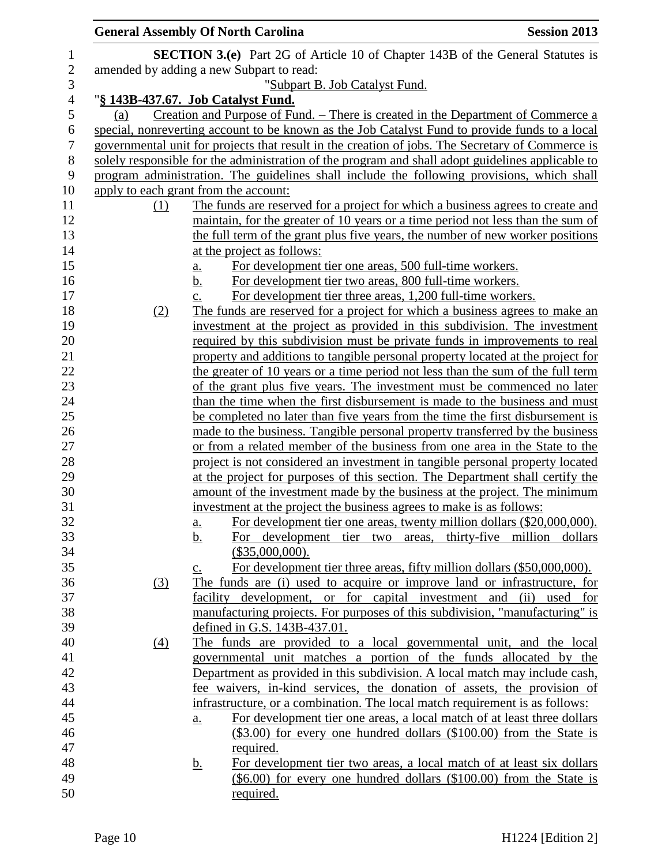|                  | <b>General Assembly Of North Carolina</b> |                 |                                                                                                                                                                | <b>Session 2013</b> |
|------------------|-------------------------------------------|-----------------|----------------------------------------------------------------------------------------------------------------------------------------------------------------|---------------------|
| 1                |                                           |                 | <b>SECTION 3.(e)</b> Part 2G of Article 10 of Chapter 143B of the General Statutes is                                                                          |                     |
| $\boldsymbol{2}$ | amended by adding a new Subpart to read:  |                 |                                                                                                                                                                |                     |
| 3                |                                           |                 | "Subpart B. Job Catalyst Fund.                                                                                                                                 |                     |
| $\overline{4}$   | "§ 143B-437.67. Job Catalyst Fund.        |                 |                                                                                                                                                                |                     |
| 5                | (a)                                       |                 | Creation and Purpose of Fund. – There is created in the Department of Commerce a                                                                               |                     |
| 6                |                                           |                 | special, nonreverting account to be known as the Job Catalyst Fund to provide funds to a local                                                                 |                     |
| 7                |                                           |                 | governmental unit for projects that result in the creation of jobs. The Secretary of Commerce is                                                               |                     |
| $8\phantom{1}$   |                                           |                 | solely responsible for the administration of the program and shall adopt guidelines applicable to                                                              |                     |
| 9                |                                           |                 | program administration. The guidelines shall include the following provisions, which shall                                                                     |                     |
| 10               | apply to each grant from the account:     |                 |                                                                                                                                                                |                     |
|                  | $\Omega$                                  |                 | The funds are reserved for a project for which a business agrees to create and                                                                                 |                     |
|                  |                                           |                 | maintain, for the greater of 10 years or a time period not less than the sum of                                                                                |                     |
|                  |                                           |                 | the full term of the grant plus five years, the number of new worker positions                                                                                 |                     |
|                  |                                           |                 | at the project as follows:                                                                                                                                     |                     |
|                  |                                           | <u>a.</u>       | For development tier one areas, 500 full-time workers.                                                                                                         |                     |
|                  |                                           | <u>b.</u>       | For development tier two areas, 800 full-time workers.                                                                                                         |                     |
|                  |                                           | c.              | For development tier three areas, 1,200 full-time workers.                                                                                                     |                     |
|                  | (2)                                       |                 | The funds are reserved for a project for which a business agrees to make an                                                                                    |                     |
|                  |                                           |                 | investment at the project as provided in this subdivision. The investment                                                                                      |                     |
|                  |                                           |                 | required by this subdivision must be private funds in improvements to real                                                                                     |                     |
|                  |                                           |                 | property and additions to tangible personal property located at the project for                                                                                |                     |
|                  |                                           |                 | the greater of 10 years or a time period not less than the sum of the full term                                                                                |                     |
|                  |                                           |                 | of the grant plus five years. The investment must be commenced no later                                                                                        |                     |
|                  |                                           |                 | than the time when the first disbursement is made to the business and must                                                                                     |                     |
|                  |                                           |                 | be completed no later than five years from the time the first disbursement is                                                                                  |                     |
|                  |                                           |                 | made to the business. Tangible personal property transferred by the business                                                                                   |                     |
|                  |                                           |                 | or from a related member of the business from one area in the State to the                                                                                     |                     |
|                  |                                           |                 | project is not considered an investment in tangible personal property located<br>at the project for purposes of this section. The Department shall certify the |                     |
|                  |                                           |                 | amount of the investment made by the business at the project. The minimum                                                                                      |                     |
|                  |                                           |                 | investment at the project the business agrees to make is as follows:                                                                                           |                     |
|                  |                                           |                 | For development tier one areas, twenty million dollars (\$20,000,000).                                                                                         |                     |
|                  |                                           | a.<br><u>b.</u> | For development tier two areas, thirty-five million dollars                                                                                                    |                     |
|                  |                                           |                 | $(\$35,000,000).$                                                                                                                                              |                     |
|                  |                                           | $\mathbf{c}$ .  | For development tier three areas, fifty million dollars (\$50,000,000).                                                                                        |                     |
|                  | (3)                                       |                 | The funds are (i) used to acquire or improve land or infrastructure, for                                                                                       |                     |
|                  |                                           |                 | facility development, or for capital investment and                                                                                                            | (ii)<br>used for    |
|                  |                                           |                 | manufacturing projects. For purposes of this subdivision, "manufacturing" is                                                                                   |                     |
|                  |                                           |                 | defined in G.S. 143B-437.01.                                                                                                                                   |                     |
|                  | (4)                                       |                 | The funds are provided to a local governmental unit, and the local                                                                                             |                     |
|                  |                                           |                 | governmental unit matches a portion of the funds allocated by the                                                                                              |                     |
|                  |                                           |                 | Department as provided in this subdivision. A local match may include cash,                                                                                    |                     |
|                  |                                           |                 | fee waivers, in-kind services, the donation of assets, the provision of                                                                                        |                     |
|                  |                                           |                 | infrastructure, or a combination. The local match requirement is as follows:                                                                                   |                     |
|                  |                                           | a.              | For development tier one areas, a local match of at least three dollars                                                                                        |                     |
|                  |                                           |                 | $(\$3.00)$ for every one hundred dollars $(\$100.00)$ from the State is                                                                                        |                     |
|                  |                                           |                 | required.                                                                                                                                                      |                     |
|                  |                                           | <u>b.</u>       | For development tier two areas, a local match of at least six dollars                                                                                          |                     |
|                  |                                           |                 | $(\$6.00)$ for every one hundred dollars $(\$100.00)$ from the State is                                                                                        |                     |
|                  |                                           |                 | required.                                                                                                                                                      |                     |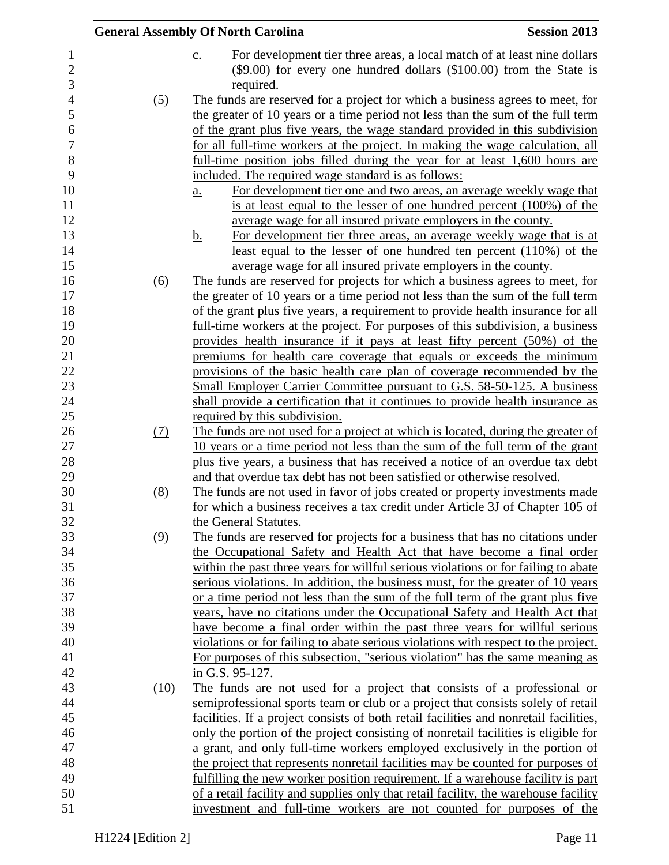|            | <b>General Assembly Of North Carolina</b>                                                                                                                          | <b>Session 2013</b> |
|------------|--------------------------------------------------------------------------------------------------------------------------------------------------------------------|---------------------|
|            | For development tier three areas, a local match of at least nine dollars<br>$\underline{c}$ .                                                                      |                     |
|            | $(\$9.00)$ for every one hundred dollars $(\$100.00)$ from the State is                                                                                            |                     |
| (5)        | required.<br>The funds are reserved for a project for which a business agrees to meet, for                                                                         |                     |
|            | the greater of 10 years or a time period not less than the sum of the full term                                                                                    |                     |
|            | of the grant plus five years, the wage standard provided in this subdivision                                                                                       |                     |
|            | for all full-time workers at the project. In making the wage calculation, all                                                                                      |                     |
|            | full-time position jobs filled during the year for at least 1,600 hours are                                                                                        |                     |
|            | included. The required wage standard is as follows:                                                                                                                |                     |
|            | For development tier one and two areas, an average weekly wage that<br>$\underline{a}$ .                                                                           |                     |
|            | is at least equal to the lesser of one hundred percent (100%) of the                                                                                               |                     |
|            | average wage for all insured private employers in the county.                                                                                                      |                     |
|            | For development tier three areas, an average weekly wage that is at<br><u>b.</u>                                                                                   |                     |
|            | least equal to the lesser of one hundred ten percent $(110\%)$ of the                                                                                              |                     |
|            | average wage for all insured private employers in the county.                                                                                                      |                     |
| (6)        | The funds are reserved for projects for which a business agrees to meet, for                                                                                       |                     |
|            | the greater of 10 years or a time period not less than the sum of the full term<br>of the grant plus five years, a requirement to provide health insurance for all |                     |
|            | full-time workers at the project. For purposes of this subdivision, a business                                                                                     |                     |
|            | provides health insurance if it pays at least fifty percent (50%) of the                                                                                           |                     |
|            | premiums for health care coverage that equals or exceeds the minimum                                                                                               |                     |
|            | provisions of the basic health care plan of coverage recommended by the                                                                                            |                     |
|            | Small Employer Carrier Committee pursuant to G.S. 58-50-125. A business                                                                                            |                     |
|            | shall provide a certification that it continues to provide health insurance as                                                                                     |                     |
|            | required by this subdivision.                                                                                                                                      |                     |
| <u>(7)</u> | The funds are not used for a project at which is located, during the greater of                                                                                    |                     |
|            | 10 years or a time period not less than the sum of the full term of the grant                                                                                      |                     |
|            | plus five years, a business that has received a notice of an overdue tax debt                                                                                      |                     |
|            | and that overdue tax debt has not been satisfied or otherwise resolved.                                                                                            |                     |
| (8)        | The funds are not used in favor of jobs created or property investments made                                                                                       |                     |
|            | for which a business receives a tax credit under Article 3J of Chapter 105 of                                                                                      |                     |
|            | the General Statutes.                                                                                                                                              |                     |
| (9)        | The funds are reserved for projects for a business that has no citations under                                                                                     |                     |
|            | the Occupational Safety and Health Act that have become a final order<br>within the past three years for willful serious violations or for failing to abate        |                     |
|            | serious violations. In addition, the business must, for the greater of 10 years                                                                                    |                     |
|            | or a time period not less than the sum of the full term of the grant plus five                                                                                     |                     |
|            | years, have no citations under the Occupational Safety and Health Act that                                                                                         |                     |
|            | have become a final order within the past three years for willful serious                                                                                          |                     |
|            | violations or for failing to abate serious violations with respect to the project.                                                                                 |                     |
|            | For purposes of this subsection, "serious violation" has the same meaning as                                                                                       |                     |
|            | in G.S. 95-127.                                                                                                                                                    |                     |
| (10)       | The funds are not used for a project that consists of a professional or                                                                                            |                     |
|            | semiprofessional sports team or club or a project that consists solely of retail                                                                                   |                     |
|            | facilities. If a project consists of both retail facilities and nonretail facilities,                                                                              |                     |
|            | only the portion of the project consisting of nonretail facilities is eligible for                                                                                 |                     |
|            | a grant, and only full-time workers employed exclusively in the portion of                                                                                         |                     |
|            | the project that represents nonretail facilities may be counted for purposes of                                                                                    |                     |
|            | fulfilling the new worker position requirement. If a warehouse facility is part                                                                                    |                     |
|            | of a retail facility and supplies only that retail facility, the warehouse facility                                                                                |                     |
|            | investment and full-time workers are not counted for purposes of the                                                                                               |                     |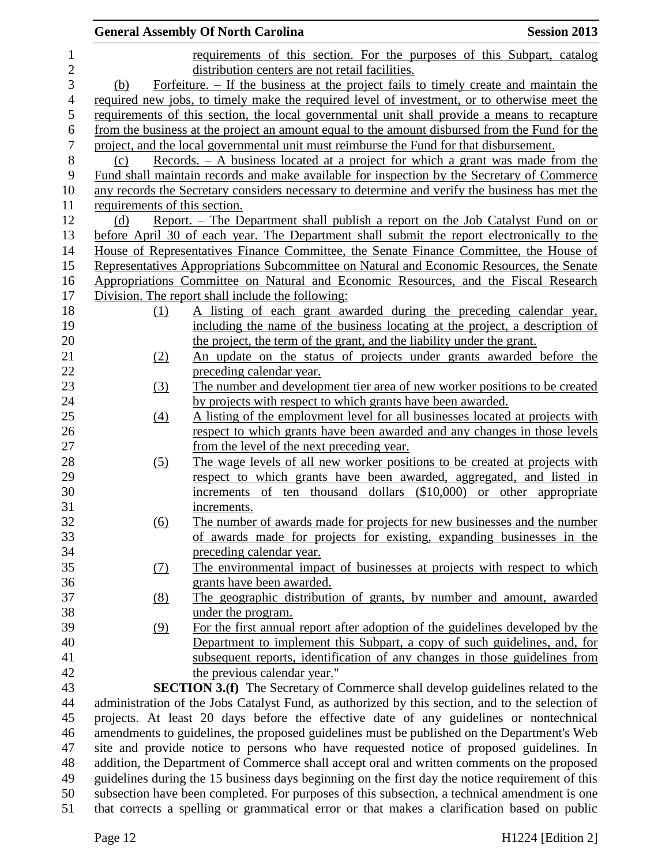|                  |                               | <b>General Assembly Of North Carolina</b>                                                                                                                                                  | <b>Session 2013</b> |
|------------------|-------------------------------|--------------------------------------------------------------------------------------------------------------------------------------------------------------------------------------------|---------------------|
| $\mathbf{1}$     |                               | requirements of this section. For the purposes of this Subpart, catalog                                                                                                                    |                     |
| $\overline{c}$   |                               | distribution centers are not retail facilities.                                                                                                                                            |                     |
| 3                | (b)                           | Forfeiture. $-$ If the business at the project fails to timely create and maintain the                                                                                                     |                     |
| $\overline{4}$   |                               | required new jobs, to timely make the required level of investment, or to otherwise meet the                                                                                               |                     |
| 5                |                               | requirements of this section, the local governmental unit shall provide a means to recapture                                                                                               |                     |
| $\boldsymbol{6}$ |                               | from the business at the project an amount equal to the amount disbursed from the Fund for the                                                                                             |                     |
| $\tau$           |                               | project, and the local governmental unit must reimburse the Fund for that disbursement.                                                                                                    |                     |
| $8\,$            | (c)                           | Records. $- A$ business located at a project for which a grant was made from the                                                                                                           |                     |
| 9                |                               | Fund shall maintain records and make available for inspection by the Secretary of Commerce                                                                                                 |                     |
| 10               |                               | any records the Secretary considers necessary to determine and verify the business has met the                                                                                             |                     |
| 11               | requirements of this section. |                                                                                                                                                                                            |                     |
| 12               | (d)                           | Report. – The Department shall publish a report on the Job Catalyst Fund on or                                                                                                             |                     |
| 13               |                               | before April 30 of each year. The Department shall submit the report electronically to the                                                                                                 |                     |
| 14               |                               | House of Representatives Finance Committee, the Senate Finance Committee, the House of                                                                                                     |                     |
| 15               |                               | Representatives Appropriations Subcommittee on Natural and Economic Resources, the Senate                                                                                                  |                     |
| 16               |                               | Appropriations Committee on Natural and Economic Resources, and the Fiscal Research                                                                                                        |                     |
| 17               |                               | Division. The report shall include the following:                                                                                                                                          |                     |
| 18               | (1)                           | A listing of each grant awarded during the preceding calendar year,                                                                                                                        |                     |
| 19               |                               | including the name of the business locating at the project, a description of                                                                                                               |                     |
| 20               |                               | the project, the term of the grant, and the liability under the grant.                                                                                                                     |                     |
| 21               | (2)                           | An update on the status of projects under grants awarded before the                                                                                                                        |                     |
| 22               |                               | preceding calendar year.                                                                                                                                                                   |                     |
| 23               | (3)                           | The number and development tier area of new worker positions to be created                                                                                                                 |                     |
| 24               |                               | by projects with respect to which grants have been awarded.                                                                                                                                |                     |
| 25               | $\left(4\right)$              | A listing of the employment level for all businesses located at projects with                                                                                                              |                     |
| 26               |                               | respect to which grants have been awarded and any changes in those levels                                                                                                                  |                     |
| 27               |                               | from the level of the next preceding year.                                                                                                                                                 |                     |
| 28               | (5)                           | The wage levels of all new worker positions to be created at projects with                                                                                                                 |                     |
| 29               |                               | respect to which grants have been awarded, aggregated, and listed in                                                                                                                       |                     |
| 30               |                               | increments of ten thousand dollars (\$10,000) or other appropriate                                                                                                                         |                     |
| 31               |                               | increments.                                                                                                                                                                                |                     |
| 32               | (6)                           | The number of awards made for projects for new businesses and the number                                                                                                                   |                     |
| 33               |                               | of awards made for projects for existing, expanding businesses in the                                                                                                                      |                     |
| 34               |                               | preceding calendar year.                                                                                                                                                                   |                     |
| 35               | (7)                           | The environmental impact of businesses at projects with respect to which                                                                                                                   |                     |
| 36               |                               | grants have been awarded.                                                                                                                                                                  |                     |
| 37               | (8)                           | The geographic distribution of grants, by number and amount, awarded                                                                                                                       |                     |
| 38               |                               | under the program.                                                                                                                                                                         |                     |
| 39               | (9)                           | For the first annual report after adoption of the guidelines developed by the                                                                                                              |                     |
| 40               |                               | Department to implement this Subpart, a copy of such guidelines, and, for                                                                                                                  |                     |
| 41               |                               | subsequent reports, identification of any changes in those guidelines from                                                                                                                 |                     |
| 42               |                               | the previous calendar year."                                                                                                                                                               |                     |
| 43               |                               | <b>SECTION 3.(f)</b> The Secretary of Commerce shall develop guidelines related to the                                                                                                     |                     |
| 44<br>45         |                               | administration of the Jobs Catalyst Fund, as authorized by this section, and to the selection of<br>projects. At least 20 days before the effective date of any guidelines or nontechnical |                     |
| 46               |                               | amendments to guidelines, the proposed guidelines must be published on the Department's Web                                                                                                |                     |
| 47               |                               | site and provide notice to persons who have requested notice of proposed guidelines. In                                                                                                    |                     |
| 48               |                               | addition, the Department of Commerce shall accept oral and written comments on the proposed                                                                                                |                     |
| 49               |                               | guidelines during the 15 business days beginning on the first day the notice requirement of this                                                                                           |                     |
| 50               |                               | subsection have been completed. For purposes of this subsection, a technical amendment is one                                                                                              |                     |
| 51               |                               | that corrects a spelling or grammatical error or that makes a clarification based on public                                                                                                |                     |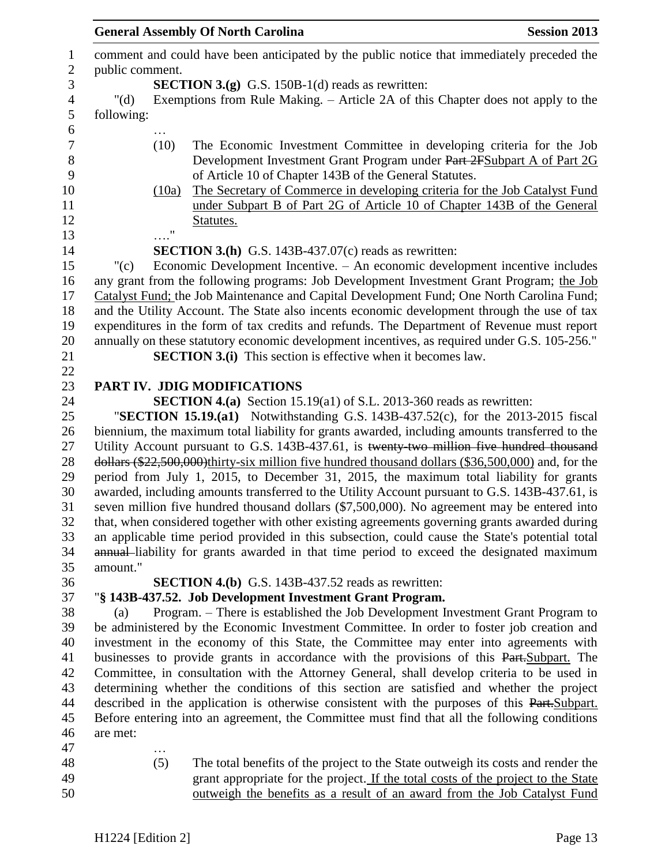|                |                 |                   | <b>General Assembly Of North Carolina</b>                                                                                                                                                | <b>Session 2013</b> |
|----------------|-----------------|-------------------|------------------------------------------------------------------------------------------------------------------------------------------------------------------------------------------|---------------------|
| $\mathbf{1}$   |                 |                   | comment and could have been anticipated by the public notice that immediately preceded the                                                                                               |                     |
| $\overline{c}$ | public comment. |                   |                                                                                                                                                                                          |                     |
| 3              |                 |                   | <b>SECTION 3.(g)</b> G.S. 150B-1(d) reads as rewritten:                                                                                                                                  |                     |
| $\overline{4}$ | " $(d)$         |                   | Exemptions from Rule Making. – Article 2A of this Chapter does not apply to the                                                                                                          |                     |
| 5              | following:      |                   |                                                                                                                                                                                          |                     |
| 6              |                 |                   |                                                                                                                                                                                          |                     |
| 7              |                 | (10)              | The Economic Investment Committee in developing criteria for the Job                                                                                                                     |                     |
| $8\,$          |                 |                   | Development Investment Grant Program under Part 2FSubpart A of Part 2G                                                                                                                   |                     |
| 9              |                 |                   | of Article 10 of Chapter 143B of the General Statutes.                                                                                                                                   |                     |
| 10<br>11       |                 | (10a)             | The Secretary of Commerce in developing criteria for the Job Catalyst Fund                                                                                                               |                     |
|                |                 |                   | under Subpart B of Part 2G of Article 10 of Chapter 143B of the General                                                                                                                  |                     |
| 12             |                 | $^{\prime\prime}$ | Statutes.                                                                                                                                                                                |                     |
| 13             |                 |                   |                                                                                                                                                                                          |                     |
| 14             |                 |                   | <b>SECTION 3.(h)</b> G.S. 143B-437.07(c) reads as rewritten:                                                                                                                             |                     |
| 15<br>16       | "(c)            |                   | Economic Development Incentive. - An economic development incentive includes                                                                                                             |                     |
|                |                 |                   | any grant from the following programs: Job Development Investment Grant Program; the Job                                                                                                 |                     |
| 17<br>18       |                 |                   | Catalyst Fund; the Job Maintenance and Capital Development Fund; One North Carolina Fund;<br>and the Utility Account. The State also incents economic development through the use of tax |                     |
| 19             |                 |                   | expenditures in the form of tax credits and refunds. The Department of Revenue must report                                                                                               |                     |
|                |                 |                   | annually on these statutory economic development incentives, as required under G.S. 105-256."                                                                                            |                     |
| 20<br>21       |                 |                   | <b>SECTION 3.(i)</b> This section is effective when it becomes law.                                                                                                                      |                     |
| 22             |                 |                   |                                                                                                                                                                                          |                     |
| 23             |                 |                   | PART IV. JDIG MODIFICATIONS                                                                                                                                                              |                     |
| 24             |                 |                   | <b>SECTION 4.(a)</b> Section 15.19(a1) of S.L. 2013-360 reads as rewritten:                                                                                                              |                     |
| 25             |                 |                   | "SECTION 15.19. $(a1)$ Notwithstanding G.S. 143B-437.52 $(c)$ , for the 2013-2015 fiscal                                                                                                 |                     |
| 26             |                 |                   | biennium, the maximum total liability for grants awarded, including amounts transferred to the                                                                                           |                     |
| 27             |                 |                   | Utility Account pursuant to G.S. 143B-437.61, is twenty-two million five hundred thousand                                                                                                |                     |
| 28             |                 |                   | $\frac{1}{2}$ dollars (\$22,500,000) thirty-six million five hundred thousand dollars (\$36,500,000) and, for the                                                                        |                     |
| 29<br>30       |                 |                   | period from July 1, 2015, to December 31, 2015, the maximum total liability for grants                                                                                                   |                     |
|                |                 |                   | awarded, including amounts transferred to the Utility Account pursuant to G.S. 143B-437.61, is                                                                                           |                     |
|                |                 |                   | seven million five hundred thousand dollars (\$7,500,000). No agreement may be entered into                                                                                              |                     |
| 32             |                 |                   | that, when considered together with other existing agreements governing grants awarded during                                                                                            |                     |
| 33             |                 |                   | an applicable time period provided in this subsection, could cause the State's potential total                                                                                           |                     |
| 34             |                 |                   | annual-liability for grants awarded in that time period to exceed the designated maximum                                                                                                 |                     |
| 35<br>36       | amount."        |                   |                                                                                                                                                                                          |                     |
| 37             |                 |                   | SECTION 4.(b) G.S. 143B-437.52 reads as rewritten:                                                                                                                                       |                     |
| 38             | (a)             |                   | "§ 143B-437.52. Job Development Investment Grant Program.<br>Program. – There is established the Job Development Investment Grant Program to                                             |                     |
|                |                 |                   | be administered by the Economic Investment Committee. In order to foster job creation and                                                                                                |                     |
|                |                 |                   | investment in the economy of this State, the Committee may enter into agreements with                                                                                                    |                     |
|                |                 |                   | businesses to provide grants in accordance with the provisions of this Part. Subpart. The                                                                                                |                     |
|                |                 |                   | Committee, in consultation with the Attorney General, shall develop criteria to be used in                                                                                               |                     |
|                |                 |                   | determining whether the conditions of this section are satisfied and whether the project                                                                                                 |                     |
|                |                 |                   | described in the application is otherwise consistent with the purposes of this Part. Subpart.                                                                                            |                     |
|                |                 |                   | Before entering into an agreement, the Committee must find that all the following conditions                                                                                             |                     |
| 45<br>46       | are met:        |                   |                                                                                                                                                                                          |                     |
| 47             |                 |                   |                                                                                                                                                                                          |                     |
| 48             |                 | (5)               | The total benefits of the project to the State outweigh its costs and render the                                                                                                         |                     |
| 49             |                 |                   | grant appropriate for the project. If the total costs of the project to the State                                                                                                        |                     |
| 50             |                 |                   | outweigh the benefits as a result of an award from the Job Catalyst Fund                                                                                                                 |                     |